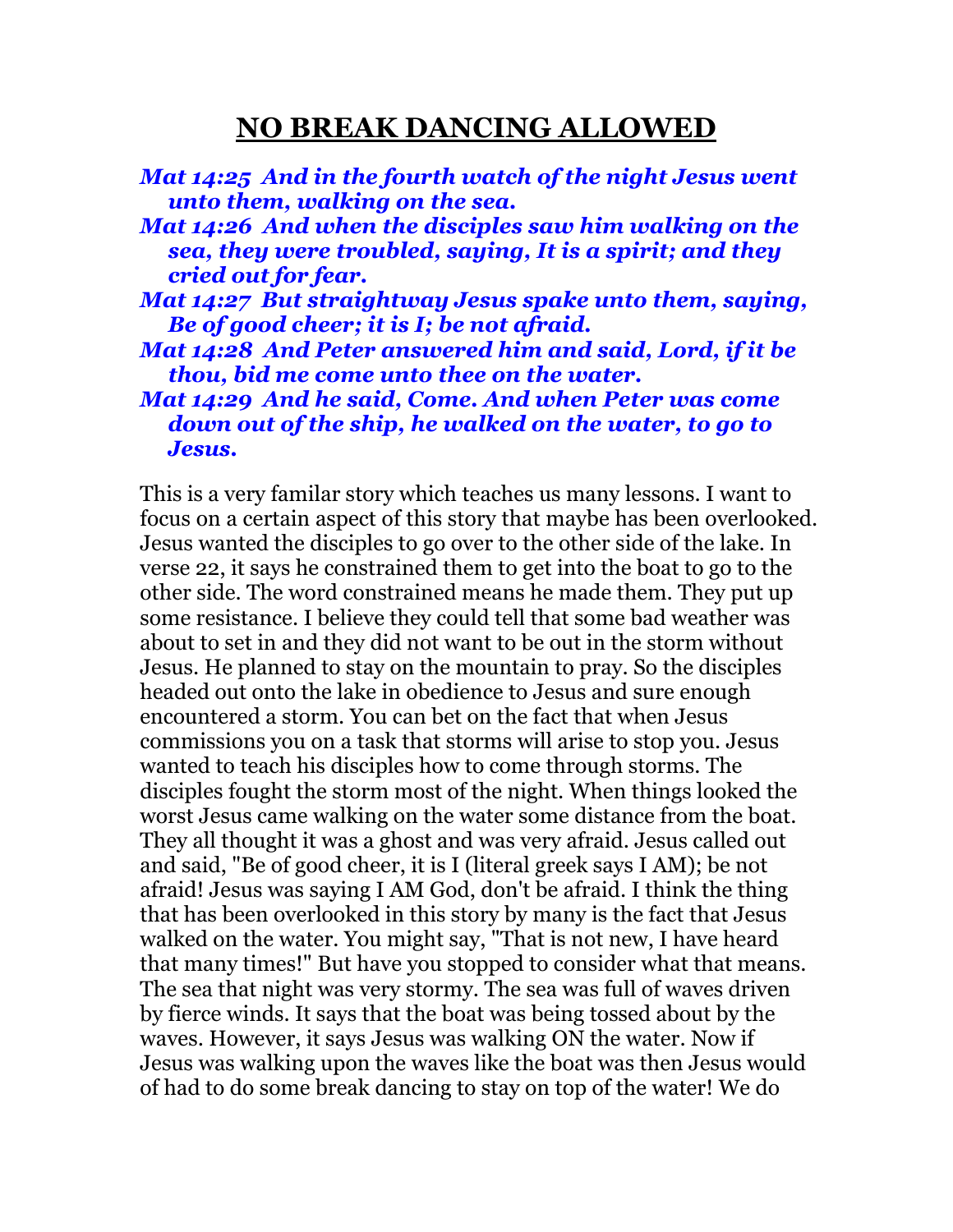## **NO BREAK DANCING ALLOWED**

| Mat 14:25 And in the fourth watch of the night Jesus went<br>unto them, walking on the sea.                                                 |  |
|---------------------------------------------------------------------------------------------------------------------------------------------|--|
| Mat 14:26 And when the disciples saw him walking on the<br>sea, they were troubled, saying, It is a spirit; and they<br>cried out for fear. |  |
| Mat 14:27 But straightway Jesus spake unto them, saying,<br>Be of good cheer; it is I; be not afraid.                                       |  |
| Mat 14:28 And Peter answered him and said, Lord, if it be<br>thou, bid me come unto thee on the water.                                      |  |
| Mat 14:29 And he said, Come. And when Peter was come<br>down out of the ship, he walked on the water, to go to<br>Jesus.                    |  |

This is a very familar story which teaches us many lessons. I want to focus on a certain aspect of this story that maybe has been overlooked. Jesus wanted the disciples to go over to the other side of the lake. In verse 22, it says he constrained them to get into the boat to go to the other side. The word constrained means he made them. They put up some resistance. I believe they could tell that some bad weather was about to set in and they did not want to be out in the storm without Jesus. He planned to stay on the mountain to pray. So the disciples headed out onto the lake in obedience to Jesus and sure enough encountered a storm. You can bet on the fact that when Jesus commissions you on a task that storms will arise to stop you. Jesus wanted to teach his disciples how to come through storms. The disciples fought the storm most of the night. When things looked the worst Jesus came walking on the water some distance from the boat. They all thought it was a ghost and was very afraid. Jesus called out and said, "Be of good cheer, it is I (literal greek says I AM); be not afraid! Jesus was saying I AM God, don't be afraid. I think the thing that has been overlooked in this story by many is the fact that Jesus walked on the water. You might say, "That is not new, I have heard that many times!" But have you stopped to consider what that means. The sea that night was very stormy. The sea was full of waves driven by fierce winds. It says that the boat was being tossed about by the waves. However, it says Jesus was walking ON the water. Now if Jesus was walking upon the waves like the boat was then Jesus would of had to do some break dancing to stay on top of the water! We do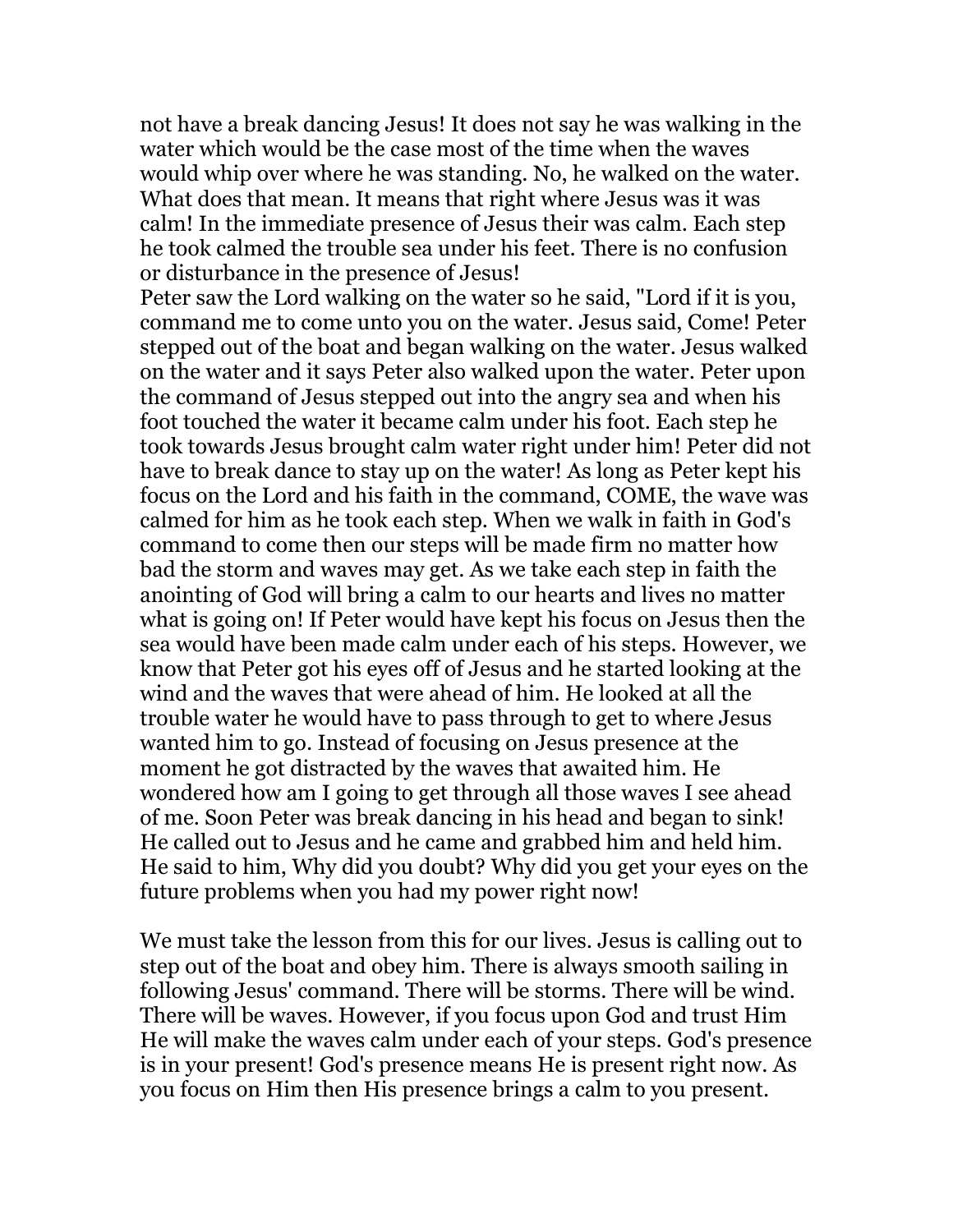not have a break dancing Jesus! It does not say he was walking in the water which would be the case most of the time when the waves would whip over where he was standing. No, he walked on the water. What does that mean. It means that right where Jesus was it was calm! In the immediate presence of Jesus their was calm. Each step he took calmed the trouble sea under his feet. There is no confusion or disturbance in the presence of Jesus!

Peter saw the Lord walking on the water so he said, "Lord if it is you, command me to come unto you on the water. Jesus said, Come! Peter stepped out of the boat and began walking on the water. Jesus walked on the water and it says Peter also walked upon the water. Peter upon the command of Jesus stepped out into the angry sea and when his foot touched the water it became calm under his foot. Each step he took towards Jesus brought calm water right under him! Peter did not have to break dance to stay up on the water! As long as Peter kept his focus on the Lord and his faith in the command, COME, the wave was calmed for him as he took each step. When we walk in faith in God's command to come then our steps will be made firm no matter how bad the storm and waves may get. As we take each step in faith the anointing of God will bring a calm to our hearts and lives no matter what is going on! If Peter would have kept his focus on Jesus then the sea would have been made calm under each of his steps. However, we know that Peter got his eyes off of Jesus and he started looking at the wind and the waves that were ahead of him. He looked at all the trouble water he would have to pass through to get to where Jesus wanted him to go. Instead of focusing on Jesus presence at the moment he got distracted by the waves that awaited him. He wondered how am I going to get through all those waves I see ahead of me. Soon Peter was break dancing in his head and began to sink! He called out to Jesus and he came and grabbed him and held him. He said to him, Why did you doubt? Why did you get your eyes on the future problems when you had my power right now!

We must take the lesson from this for our lives. Jesus is calling out to step out of the boat and obey him. There is always smooth sailing in following Jesus' command. There will be storms. There will be wind. There will be waves. However, if you focus upon God and trust Him He will make the waves calm under each of your steps. God's presence is in your present! God's presence means He is present right now. As you focus on Him then His presence brings a calm to you present.